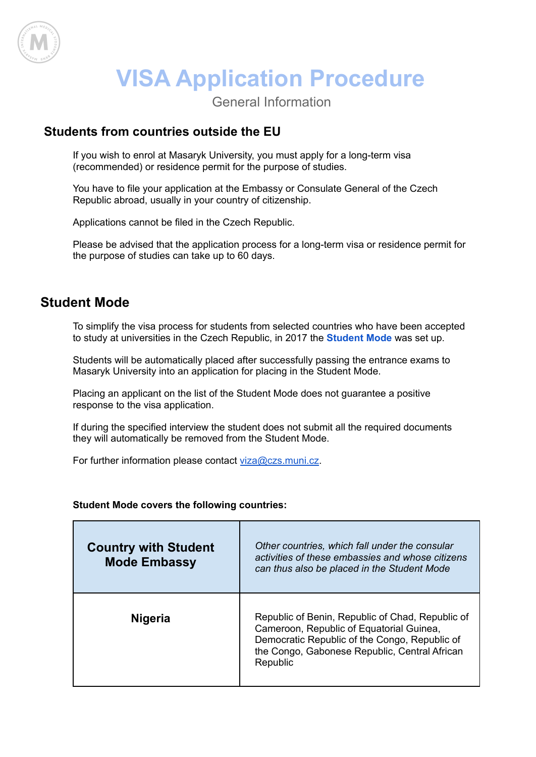

## **VISA Application Procedure**

General Information

## **Students from countries outside the EU**

If you wish to enrol at Masaryk University, you must apply for a long-term visa (recommended) or residence permit for the purpose of studies.

You have to file your application at the Embassy or Consulate General of the Czech Republic abroad, usually in your country of citizenship.

Applications cannot be filed in the Czech Republic.

Please be advised that the application process for a long-term visa or residence permit for the purpose of studies can take up to 60 days.

## **Student Mode**

To simplify the visa process for students from selected countries who have been accepted to study at universities in the Czech Republic, in 2017 the **[Student](https://www.mzv.cz/jnp/en/information_for_aliens/projects/student_mode.html) Mode** was set up.

Students will be automatically placed after successfully passing the entrance exams to Masaryk University into an application for placing in the Student Mode.

Placing an applicant on the list of the Student Mode does not guarantee a positive response to the visa application.

If during the specified interview the student does not submit all the required documents they will automatically be removed from the Student Mode.

For further information please contact [viza@czs.muni.cz.](mailto:viza@czs.muni.cz)

## **Student Mode covers the following countries:**

| <b>Country with Student</b><br><b>Mode Embassy</b> | Other countries, which fall under the consular<br>activities of these embassies and whose citizens<br>can thus also be placed in the Student Mode                                                          |
|----------------------------------------------------|------------------------------------------------------------------------------------------------------------------------------------------------------------------------------------------------------------|
| <b>Nigeria</b>                                     | Republic of Benin, Republic of Chad, Republic of<br>Cameroon, Republic of Equatorial Guinea,<br>Democratic Republic of the Congo, Republic of<br>the Congo, Gabonese Republic, Central African<br>Republic |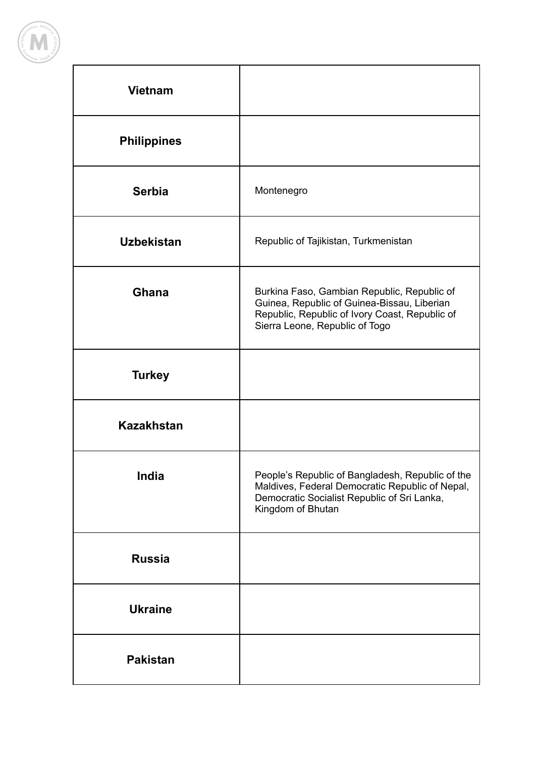

| <b>Vietnam</b>     |                                                                                                                                                                                |
|--------------------|--------------------------------------------------------------------------------------------------------------------------------------------------------------------------------|
| <b>Philippines</b> |                                                                                                                                                                                |
| <b>Serbia</b>      | Montenegro                                                                                                                                                                     |
| <b>Uzbekistan</b>  | Republic of Tajikistan, Turkmenistan                                                                                                                                           |
| <b>Ghana</b>       | Burkina Faso, Gambian Republic, Republic of<br>Guinea, Republic of Guinea-Bissau, Liberian<br>Republic, Republic of Ivory Coast, Republic of<br>Sierra Leone, Republic of Togo |
| <b>Turkey</b>      |                                                                                                                                                                                |
| <b>Kazakhstan</b>  |                                                                                                                                                                                |
| India              | People's Republic of Bangladesh, Republic of the<br>Maldives, Federal Democratic Republic of Nepal,<br>Democratic Socialist Republic of Sri Lanka,<br>Kingdom of Bhutan        |
| <b>Russia</b>      |                                                                                                                                                                                |
| <b>Ukraine</b>     |                                                                                                                                                                                |
| <b>Pakistan</b>    |                                                                                                                                                                                |